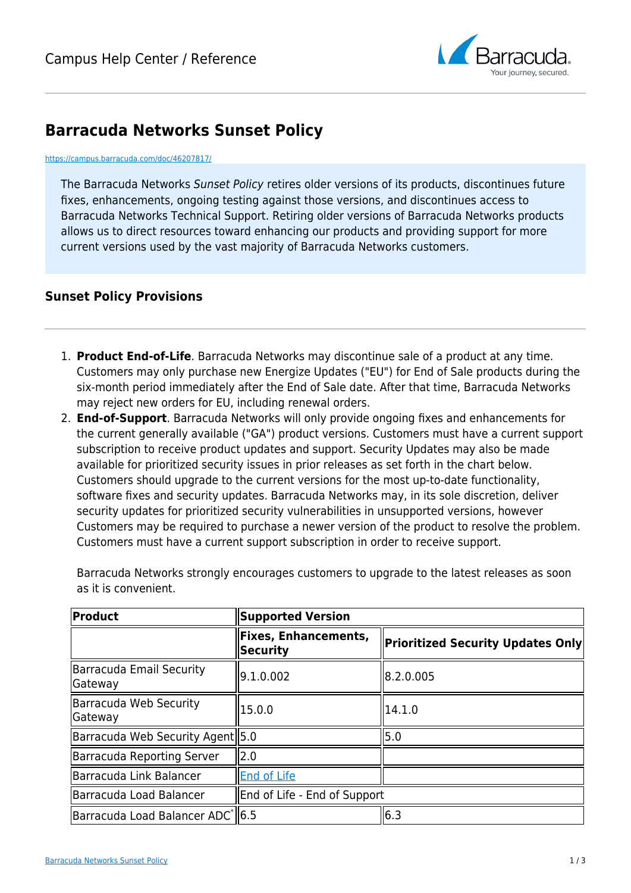

## **Barracuda Networks Sunset Policy**

## <https://campus.barracuda.com/doc/46207817/>

The Barracuda Networks Sunset Policy retires older versions of its products, discontinues future fixes, enhancements, ongoing testing against those versions, and discontinues access to Barracuda Networks Technical Support. Retiring older versions of Barracuda Networks products allows us to direct resources toward enhancing our products and providing support for more current versions used by the vast majority of Barracuda Networks customers.

## **Sunset Policy Provisions**

- 1. **Product End-of-Life**. Barracuda Networks may discontinue sale of a product at any time. Customers may only purchase new Energize Updates ("EU") for End of Sale products during the six-month period immediately after the End of Sale date. After that time, Barracuda Networks may reject new orders for EU, including renewal orders.
- 2. **End-of-Support**. Barracuda Networks will only provide ongoing fixes and enhancements for the current generally available ("GA") product versions. Customers must have a current support subscription to receive product updates and support. Security Updates may also be made available for prioritized security issues in prior releases as set forth in the chart below. Customers should upgrade to the current versions for the most up-to-date functionality, software fixes and security updates. Barracuda Networks may, in its sole discretion, deliver security updates for prioritized security vulnerabilities in unsupported versions, however Customers may be required to purchase a newer version of the product to resolve the problem. Customers must have a current support subscription in order to receive support.

| Product                                    | <b>Supported Version</b>                |                                          |
|--------------------------------------------|-----------------------------------------|------------------------------------------|
|                                            | <b>Fixes, Enhancements,</b><br>Security | <b>Prioritized Security Updates Only</b> |
| Barracuda Email Security<br><b>Gateway</b> | 9.1.0.002                               | 8.2.0.005                                |
| Barracuda Web Security<br><b>Gateway</b>   | 15.0.0                                  | 14.1.0                                   |
| Barracuda Web Security Agent   5.0         |                                         | 5.0                                      |
| Barracuda Reporting Server                 | 12.0                                    |                                          |
| Barracuda Link Balancer                    | <b>End of Life</b>                      |                                          |
| Barracuda Load Balancer                    | End of Life - End of Support            |                                          |
| Barracuda Load Balancer ADC   6.5          |                                         | 6.3                                      |

Barracuda Networks strongly encourages customers to upgrade to the latest releases as soon as it is convenient.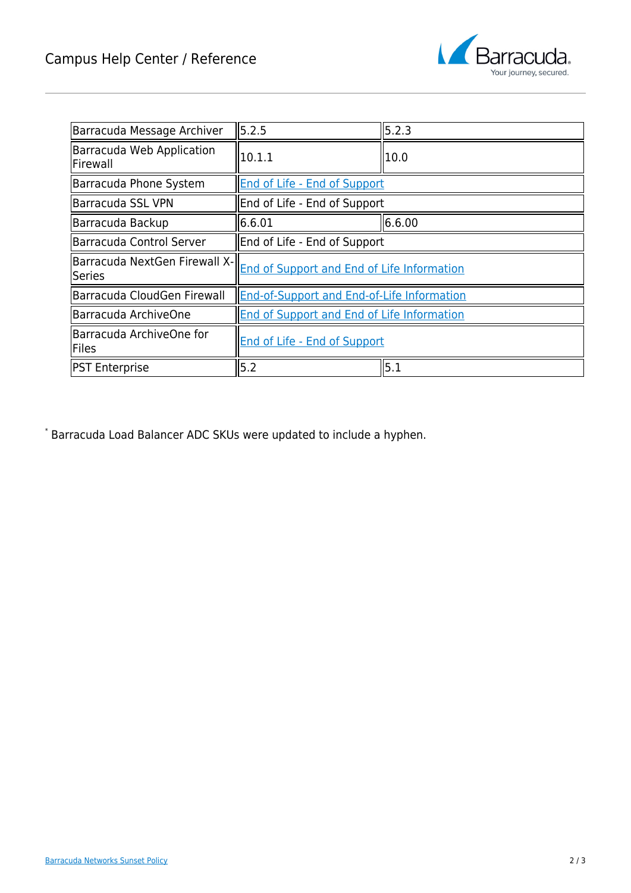

| Barracuda Message Archiver              | 5.2.5                                             | 5.2.3  |
|-----------------------------------------|---------------------------------------------------|--------|
| Barracuda Web Application<br>Firewall   | 10.1.1                                            | 10.0   |
| Barracuda Phone System                  | <b>End of Life - End of Support</b>               |        |
| Barracuda SSL VPN                       | End of Life - End of Support                      |        |
| Barracuda Backup                        | 6.6.01                                            | 6.6.00 |
| Barracuda Control Server                | End of Life - End of Support                      |        |
| Barracuda NextGen Firewall X-<br>Series | <b>End of Support and End of Life Information</b> |        |
| Barracuda CloudGen Firewall             | <b>End-of-Support and End-of-Life Information</b> |        |
| Barracuda ArchiveOne                    | <b>End of Support and End of Life Information</b> |        |
| Barracuda ArchiveOne for<br>Files       | <b>End of Life - End of Support</b>               |        |
| <b>PST Enterprise</b>                   | 5.2                                               | 5.1    |

\* Barracuda Load Balancer ADC SKUs were updated to include a hyphen.